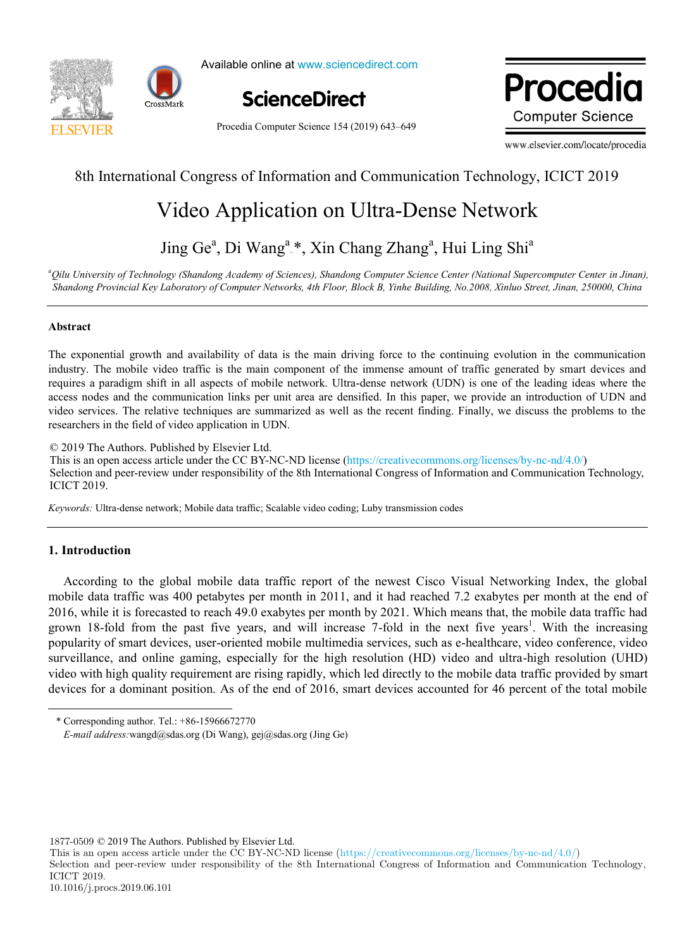



Available online at www.sciencedirect.com



Procedia Computer Science 154 (2019) 643–649

**Wrocadur** *www.elsevier.com/locate/proce* **Computer Science** *dia*

 $8t\leq 10t$  International Congress of Information and  $C$  Information  $T$ 

# 8th International Congress of Information and Communication Technology, ICICT 2019

# Video Application on Ultra-Dense Network  $V_1$  dense Application on Ultra-Dense Network Video Application on Ultra-Dense Network

Jing Ge<sup>a</sup>, Di Wang<sup>a</sup>, \*, Xin Chang Zhang<sup>a</sup>, Hui Ling Shi<sup>a</sup> *Qilu University of Technology (Shandong Academy of Sciences), Shandong Computer Science Center (National Supercomputer Center in Jinan),*  Jing Ge<sup>a</sup>, Di Wang<sup>a</sup><sub>-</sub>\*, Xin Chang Zhang<sup>a</sup>, Hui Ling Shi<sup>a</sup>

a Cilu University of Technology (Shandong Academy of Sciences), Shandong Computer Science Center (National Supercomputer Center in Jinan),<br>Shandong Provincial Kay Laboratory of Computer Natyorks, 4th Eloor, Block B, Vinha *Shandong Provincial Key Laboratory of Computer Networks, 4th Floor, Block B, Yinhe Building, No.2008, Xinluo Street, Jinan, 250000, China*

*Suzhou University Shandong Business Institute*

## **Abstract**

The exponential growth and availability of data is the main driving force to the continuing evolution in the communication industry. The mobile video traffic is the main component of the immense amount of traffic generated by smart devices and requires a paradigm shift in all aspects of mobile network. Ultra-dense network (UDN) is one of the leading ideas where the access nodes and the communication links per unit area are densified. In this paper, we provide an introduction of UDN and video services. The relative techniques are summarized as well as the recent finding. Finally, we discuss the problems to the researchers in the field of video application in UDN.

© 2019 The Authors. Published by Elsevier Ltd.

 $\mathcal{L}_{\text{max}}$  , internet  $\mathcal{L}_{\text{max}}$  , in the cultural heritage, in  $\mathcal{L}_{\text{max}}$ 

C 2019 The Authors. Published by Elsevier Eta.<br>This is an open access article under the CC BY-NC-ND license (https://creativecommons.org/licenses/by-nc-nd/4.0/) Selection and peer-review under responsibility of the 8th International Congress of Information and Communication Technology, ICICT 2019. Perf-review under responsibility of organizing committee of the 8th International Congress of International Communication and Communication and Communication and Communication and Communication and Communication and Commun Persons in the 8th International Communication of the 8th International Communication and Communication and Communication and Communication and Communication and Communication and Communication and Communication and Commun

*Keywords:* Ultra-dense network; Mobile data traffic; Scalable video coding; Luby transmission codes *Keywords:* Ultra-dense network; Mobile data traffic; Scalable video coding; Luby transmission codes

# **1. Introduction**

-

According to the global mobile data traffic report of the newest Cisco Visual Networking Index, the global<br>mobile data traffic was 400 petabytes per month in 2011, and it had reached 7.2 exabytes per month at the end of 2016, while it is forecasted to reach 49.0 exabytes per month by 2021. Which means that, the mobile data traffic had grown 18-fold from the past five years, and will increase 7-fold in the next five years<sup>1</sup>. With the increasing  $\sum_{n=1}^{\infty}$ popularity of smart devices, user-oriented mobile multimedia services, such as e-healthcare, video conference, video surveillance, and online gaming, especially for the high resolution (HD) video and ultra-high resolution (UHD) video with high quality requirement are rising rapidly, which led directly to the mobile data traffic provided by smart devices for a dominant position. As of the end of 2016, smart devices accounted for 46 percent of the total mobile Detailed address: Shandong Business Institute, Jinhai Road, High-tech Zone, Yantai, Shandong, China,zip code: 264670, contact number: According to the global mobile data traffic report of the newest Cisco Visual Networking Index, the global mobile data traffic was 400 petabytes per month in 2011, and it had reached 7.2 exabytes per month at the end of 2016, while it is forecasted to reach 49.0 exabytes per month by 2021. Which means that, the mobile data traf popularity of smart devices, user-oriented mobile multimedia services, such as e-healthcare, video conference, video<br>surveillance, and online gaming, especially for the high resolution (HD) video and ultra-high resolution

1877-0509 © 2019 The Authors. Published by Elsevier Ltd.

This is an open access article under the CC BY-NC-ND license (https://creativecommons.org/licenses/by-nc-nd/4.0/)

Selection and peer-review under responsibility of the 8th International Congress of Information and Communication Technology, ICICT 2019.

<sup>\*</sup> Corresponding author. Tel.: +86-15966672770 *E-mail address:*wangd@sdas.org (Di Wang), gej@sdas.org (Jing Ge)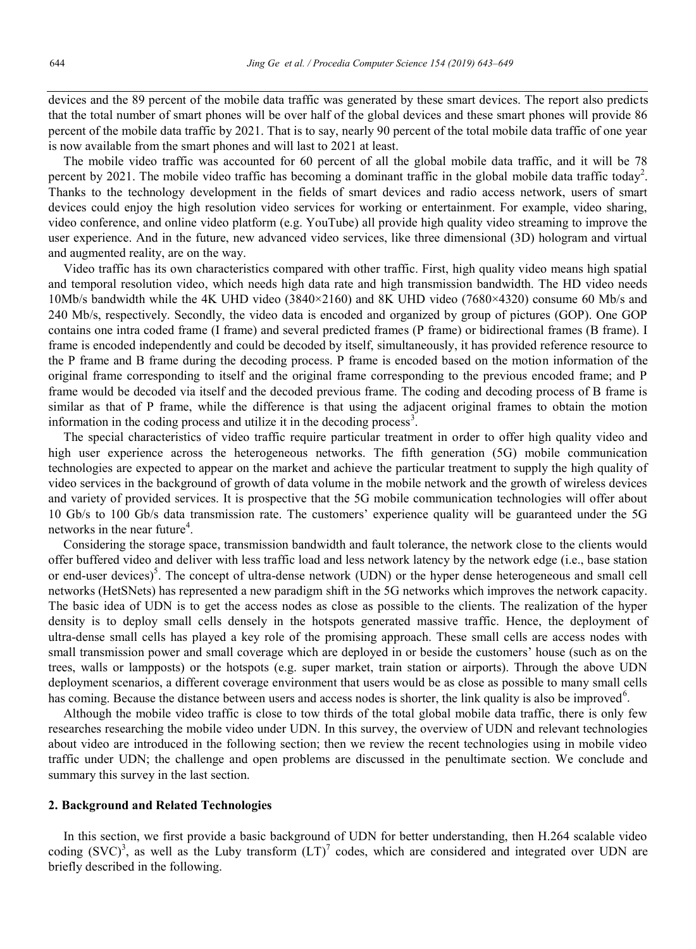devices and the 89 percent of the mobile data traffic was generated by these smart devices. The report also predicts that the total number of smart phones will be over half of the global devices and these smart phones will provide 86 percent of the mobile data traffic by 2021. That is to say, nearly 90 percent of the total mobile data traffic of one year is now available from the smart phones and will last to 2021 at least.

The mobile video traffic was accounted for 60 percent of all the global mobile data traffic, and it will be 78 percent by 2021. The mobile video traffic has becoming a dominant traffic in the global mobile data traffic today<sup>2</sup>. Thanks to the technology development in the fields of smart devices and radio access network, users of smart devices could enjoy the high resolution video services for working or entertainment. For example, video sharing, video conference, and online video platform (e.g. YouTube) all provide high quality video streaming to improve the user experience. And in the future, new advanced video services, like three dimensional (3D) hologram and virtual and augmented reality, are on the way.

Video traffic has its own characteristics compared with other traffic. First, high quality video means high spatial and temporal resolution video, which needs high data rate and high transmission bandwidth. The HD video needs 10Mb/s bandwidth while the 4K UHD video (3840×2160) and 8K UHD video (7680×4320) consume 60 Mb/s and 240 Mb/s, respectively. Secondly, the video data is encoded and organized by group of pictures (GOP). One GOP contains one intra coded frame (I frame) and several predicted frames (P frame) or bidirectional frames (B frame). I frame is encoded independently and could be decoded by itself, simultaneously, it has provided reference resource to the P frame and B frame during the decoding process. P frame is encoded based on the motion information of the original frame corresponding to itself and the original frame corresponding to the previous encoded frame; and P frame would be decoded via itself and the decoded previous frame. The coding and decoding process of B frame is similar as that of P frame, while the difference is that using the adjacent original frames to obtain the motion information in the coding process and utilize it in the decoding process<sup>3</sup>.

The special characteristics of video traffic require particular treatment in order to offer high quality video and high user experience across the heterogeneous networks. The fifth generation (5G) mobile communication technologies are expected to appear on the market and achieve the particular treatment to supply the high quality of video services in the background of growth of data volume in the mobile network and the growth of wireless devices and variety of provided services. It is prospective that the 5G mobile communication technologies will offer about 10 Gb/s to 100 Gb/s data transmission rate. The customers' experience quality will be guaranteed under the 5G networks in the near future<sup>4</sup>.

Considering the storage space, transmission bandwidth and fault tolerance, the network close to the clients would offer buffered video and deliver with less traffic load and less network latency by the network edge (i.e., base station or end-user devices)<sup>5</sup>. The concept of ultra-dense network (UDN) or the hyper dense heterogeneous and small cell networks (HetSNets) has represented a new paradigm shift in the 5G networks which improves the network capacity. The basic idea of UDN is to get the access nodes as close as possible to the clients. The realization of the hyper density is to deploy small cells densely in the hotspots generated massive traffic. Hence, the deployment of ultra-dense small cells has played a key role of the promising approach. These small cells are access nodes with small transmission power and small coverage which are deployed in or beside the customers' house (such as on the trees, walls or lampposts) or the hotspots (e.g. super market, train station or airports). Through the above UDN deployment scenarios, a different coverage environment that users would be as close as possible to many small cells has coming. Because the distance between users and access nodes is shorter, the link quality is also be improved<sup>6</sup>.

Although the mobile video traffic is close to tow thirds of the total global mobile data traffic, there is only few researches researching the mobile video under UDN. In this survey, the overview of UDN and relevant technologies about video are introduced in the following section; then we review the recent technologies using in mobile video traffic under UDN; the challenge and open problems are discussed in the penultimate section. We conclude and summary this survey in the last section.

## **2. Background and Related Technologies**

In this section, we first provide a basic background of UDN for better understanding, then H.264 scalable video coding  $(SVC)^3$ , as well as the Luby transform  $(LT)^7$  codes, which are considered and integrated over UDN are briefly described in the following.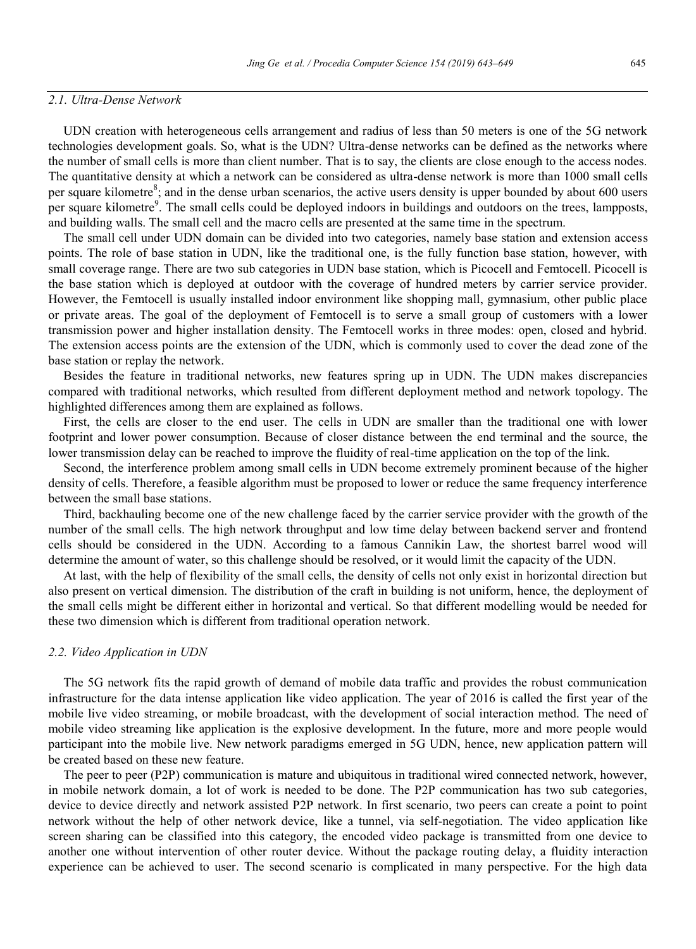## *2.1. Ultra-Dense Network*

UDN creation with heterogeneous cells arrangement and radius of less than 50 meters is one of the 5G network technologies development goals. So, what is the UDN? Ultra-dense networks can be defined as the networks where the number of small cells is more than client number. That is to say, the clients are close enough to the access nodes. The quantitative density at which a network can be considered as ultra-dense network is more than 1000 small cells per square kilometre<sup>8</sup>; and in the dense urban scenarios, the active users density is upper bounded by about 600 users per square kilometre<sup>9</sup>. The small cells could be deployed indoors in buildings and outdoors on the trees, lampposts, and building walls. The small cell and the macro cells are presented at the same time in the spectrum.

The small cell under UDN domain can be divided into two categories, namely base station and extension access points. The role of base station in UDN, like the traditional one, is the fully function base station, however, with small coverage range. There are two sub categories in UDN base station, which is Picocell and Femtocell. Picocell is the base station which is deployed at outdoor with the coverage of hundred meters by carrier service provider. However, the Femtocell is usually installed indoor environment like shopping mall, gymnasium, other public place or private areas. The goal of the deployment of Femtocell is to serve a small group of customers with a lower transmission power and higher installation density. The Femtocell works in three modes: open, closed and hybrid. The extension access points are the extension of the UDN, which is commonly used to cover the dead zone of the base station or replay the network.

Besides the feature in traditional networks, new features spring up in UDN. The UDN makes discrepancies compared with traditional networks, which resulted from different deployment method and network topology. The highlighted differences among them are explained as follows.

First, the cells are closer to the end user. The cells in UDN are smaller than the traditional one with lower footprint and lower power consumption. Because of closer distance between the end terminal and the source, the lower transmission delay can be reached to improve the fluidity of real-time application on the top of the link.

Second, the interference problem among small cells in UDN become extremely prominent because of the higher density of cells. Therefore, a feasible algorithm must be proposed to lower or reduce the same frequency interference between the small base stations.

Third, backhauling become one of the new challenge faced by the carrier service provider with the growth of the number of the small cells. The high network throughput and low time delay between backend server and frontend cells should be considered in the UDN. According to a famous Cannikin Law, the shortest barrel wood will determine the amount of water, so this challenge should be resolved, or it would limit the capacity of the UDN.

At last, with the help of flexibility of the small cells, the density of cells not only exist in horizontal direction but also present on vertical dimension. The distribution of the craft in building is not uniform, hence, the deployment of the small cells might be different either in horizontal and vertical. So that different modelling would be needed for these two dimension which is different from traditional operation network.

## *2.2. Video Application in UDN*

The 5G network fits the rapid growth of demand of mobile data traffic and provides the robust communication infrastructure for the data intense application like video application. The year of 2016 is called the first year of the mobile live video streaming, or mobile broadcast, with the development of social interaction method. The need of mobile video streaming like application is the explosive development. In the future, more and more people would participant into the mobile live. New network paradigms emerged in 5G UDN, hence, new application pattern will be created based on these new feature.

The peer to peer (P2P) communication is mature and ubiquitous in traditional wired connected network, however, in mobile network domain, a lot of work is needed to be done. The P2P communication has two sub categories, device to device directly and network assisted P2P network. In first scenario, two peers can create a point to point network without the help of other network device, like a tunnel, via self-negotiation. The video application like screen sharing can be classified into this category, the encoded video package is transmitted from one device to another one without intervention of other router device. Without the package routing delay, a fluidity interaction experience can be achieved to user. The second scenario is complicated in many perspective. For the high data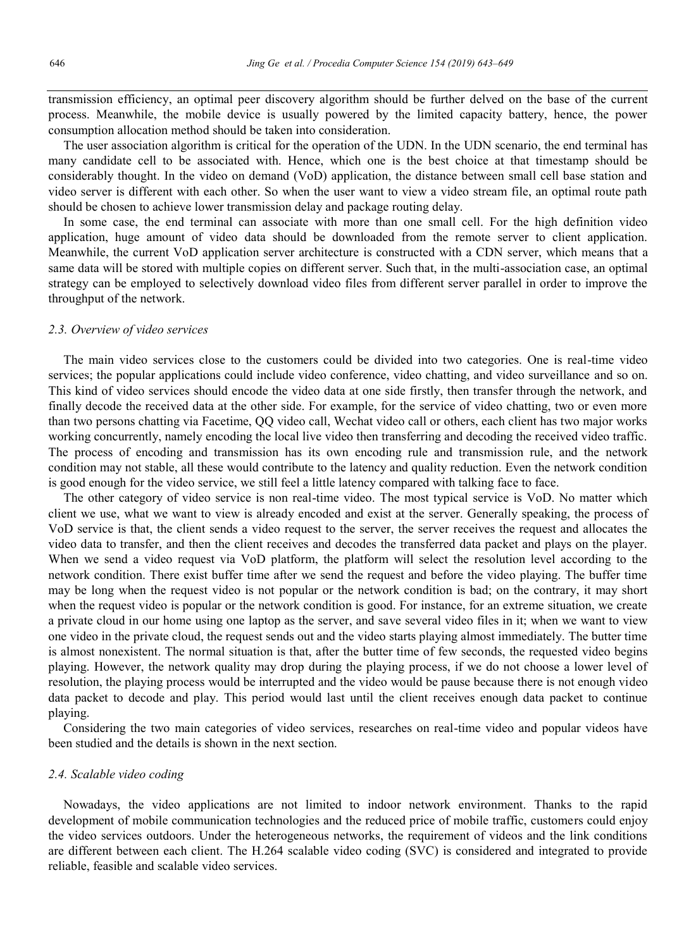transmission efficiency, an optimal peer discovery algorithm should be further delved on the base of the current process. Meanwhile, the mobile device is usually powered by the limited capacity battery, hence, the power consumption allocation method should be taken into consideration.

The user association algorithm is critical for the operation of the UDN. In the UDN scenario, the end terminal has many candidate cell to be associated with. Hence, which one is the best choice at that timestamp should be considerably thought. In the video on demand (VoD) application, the distance between small cell base station and video server is different with each other. So when the user want to view a video stream file, an optimal route path should be chosen to achieve lower transmission delay and package routing delay.

In some case, the end terminal can associate with more than one small cell. For the high definition video application, huge amount of video data should be downloaded from the remote server to client application. Meanwhile, the current VoD application server architecture is constructed with a CDN server, which means that a same data will be stored with multiple copies on different server. Such that, in the multi-association case, an optimal strategy can be employed to selectively download video files from different server parallel in order to improve the throughput of the network.

## *2.3. Overview of video services*

The main video services close to the customers could be divided into two categories. One is real-time video services; the popular applications could include video conference, video chatting, and video surveillance and so on. This kind of video services should encode the video data at one side firstly, then transfer through the network, and finally decode the received data at the other side. For example, for the service of video chatting, two or even more than two persons chatting via Facetime, QQ video call, Wechat video call or others, each client has two major works working concurrently, namely encoding the local live video then transferring and decoding the received video traffic. The process of encoding and transmission has its own encoding rule and transmission rule, and the network condition may not stable, all these would contribute to the latency and quality reduction. Even the network condition is good enough for the video service, we still feel a little latency compared with talking face to face.

The other category of video service is non real-time video. The most typical service is VoD. No matter which client we use, what we want to view is already encoded and exist at the server. Generally speaking, the process of VoD service is that, the client sends a video request to the server, the server receives the request and allocates the video data to transfer, and then the client receives and decodes the transferred data packet and plays on the player. When we send a video request via VoD platform, the platform will select the resolution level according to the network condition. There exist buffer time after we send the request and before the video playing. The buffer time may be long when the request video is not popular or the network condition is bad; on the contrary, it may short when the request video is popular or the network condition is good. For instance, for an extreme situation, we create a private cloud in our home using one laptop as the server, and save several video files in it; when we want to view one video in the private cloud, the request sends out and the video starts playing almost immediately. The butter time is almost nonexistent. The normal situation is that, after the butter time of few seconds, the requested video begins playing. However, the network quality may drop during the playing process, if we do not choose a lower level of resolution, the playing process would be interrupted and the video would be pause because there is not enough video data packet to decode and play. This period would last until the client receives enough data packet to continue playing.

Considering the two main categories of video services, researches on real-time video and popular videos have been studied and the details is shown in the next section.

#### *2.4. Scalable video coding*

Nowadays, the video applications are not limited to indoor network environment. Thanks to the rapid development of mobile communication technologies and the reduced price of mobile traffic, customers could enjoy the video services outdoors. Under the heterogeneous networks, the requirement of videos and the link conditions are different between each client. The H.264 scalable video coding (SVC) is considered and integrated to provide reliable, feasible and scalable video services.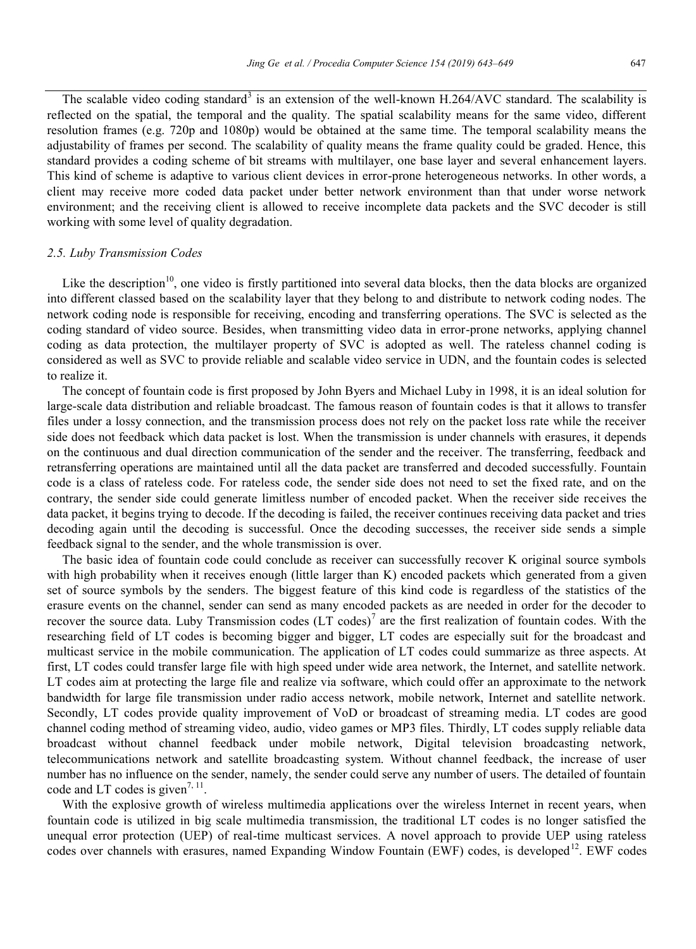The scalable video coding standard<sup>3</sup> is an extension of the well-known H.264/AVC standard. The scalability is reflected on the spatial, the temporal and the quality. The spatial scalability means for the same video, different resolution frames (e.g. 720p and 1080p) would be obtained at the same time. The temporal scalability means the adjustability of frames per second. The scalability of quality means the frame quality could be graded. Hence, this standard provides a coding scheme of bit streams with multilayer, one base layer and several enhancement layers. This kind of scheme is adaptive to various client devices in error-prone heterogeneous networks. In other words, a client may receive more coded data packet under better network environment than that under worse network environment; and the receiving client is allowed to receive incomplete data packets and the SVC decoder is still working with some level of quality degradation.

## *2.5. Luby Transmission Codes*

Like the description<sup>10</sup>, one video is firstly partitioned into several data blocks, then the data blocks are organized into different classed based on the scalability layer that they belong to and distribute to network coding nodes. The network coding node is responsible for receiving, encoding and transferring operations. The SVC is selected as the coding standard of video source. Besides, when transmitting video data in error-prone networks, applying channel coding as data protection, the multilayer property of SVC is adopted as well. The rateless channel coding is considered as well as SVC to provide reliable and scalable video service in UDN, and the fountain codes is selected to realize it.

The concept of fountain code is first proposed by John Byers and Michael Luby in 1998, it is an ideal solution for large-scale data distribution and reliable broadcast. The famous reason of fountain codes is that it allows to transfer files under a lossy connection, and the transmission process does not rely on the packet loss rate while the receiver side does not feedback which data packet is lost. When the transmission is under channels with erasures, it depends on the continuous and dual direction communication of the sender and the receiver. The transferring, feedback and retransferring operations are maintained until all the data packet are transferred and decoded successfully. Fountain code is a class of rateless code. For rateless code, the sender side does not need to set the fixed rate, and on the contrary, the sender side could generate limitless number of encoded packet. When the receiver side receives the data packet, it begins trying to decode. If the decoding is failed, the receiver continues receiving data packet and tries decoding again until the decoding is successful. Once the decoding successes, the receiver side sends a simple feedback signal to the sender, and the whole transmission is over.

The basic idea of fountain code could conclude as receiver can successfully recover K original source symbols with high probability when it receives enough (little larger than K) encoded packets which generated from a given set of source symbols by the senders. The biggest feature of this kind code is regardless of the statistics of the erasure events on the channel, sender can send as many encoded packets as are needed in order for the decoder to recover the source data. Luby Transmission codes  $(LT \text{ codes})^7$  are the first realization of fountain codes. With the researching field of LT codes is becoming bigger and bigger, LT codes are especially suit for the broadcast and multicast service in the mobile communication. The application of LT codes could summarize as three aspects. At first, LT codes could transfer large file with high speed under wide area network, the Internet, and satellite network. LT codes aim at protecting the large file and realize via software, which could offer an approximate to the network bandwidth for large file transmission under radio access network, mobile network, Internet and satellite network. Secondly, LT codes provide quality improvement of VoD or broadcast of streaming media. LT codes are good channel coding method of streaming video, audio, video games or MP3 files. Thirdly, LT codes supply reliable data broadcast without channel feedback under mobile network, Digital television broadcasting network, telecommunications network and satellite broadcasting system. Without channel feedback, the increase of user number has no influence on the sender, namely, the sender could serve any number of users. The detailed of fountain code and LT codes is given<sup>7, 11</sup>.

With the explosive growth of wireless multimedia applications over the wireless Internet in recent years, when fountain code is utilized in big scale multimedia transmission, the traditional LT codes is no longer satisfied the unequal error protection (UEP) of real-time multicast services. A novel approach to provide UEP using rateless codes over channels with erasures, named Expanding Window Fountain (EWF) codes, is developed<sup>12</sup>. EWF codes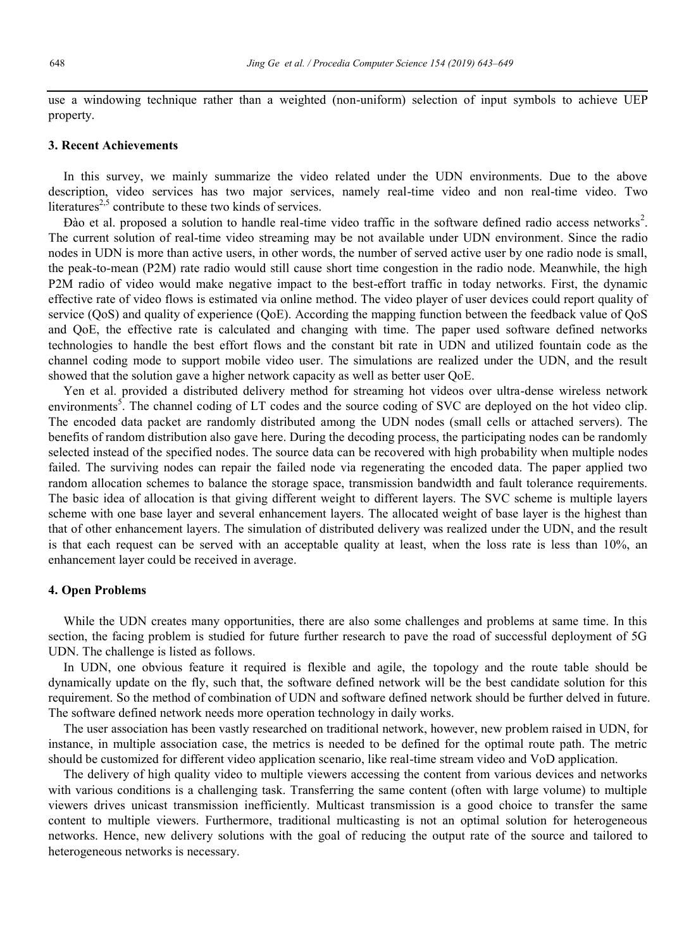use a windowing technique rather than a weighted (non-uniform) selection of input symbols to achieve UEP property.

# **3. Recent Achievements**

In this survey, we mainly summarize the video related under the UDN environments. Due to the above description, video services has two major services, namely real-time video and non real-time video. Two literatures<sup>2,5</sup> contribute to these two kinds of services.

Dào et al. proposed a solution to handle real-time video traffic in the software defined radio access networks<sup>2</sup>. The current solution of real-time video streaming may be not available under UDN environment. Since the radio nodes in UDN is more than active users, in other words, the number of served active user by one radio node is small, the peak-to-mean (P2M) rate radio would still cause short time congestion in the radio node. Meanwhile, the high P2M radio of video would make negative impact to the best-effort traffic in today networks. First, the dynamic effective rate of video flows is estimated via online method. The video player of user devices could report quality of service (QoS) and quality of experience (QoE). According the mapping function between the feedback value of QoS and QoE, the effective rate is calculated and changing with time. The paper used software defined networks technologies to handle the best effort flows and the constant bit rate in UDN and utilized fountain code as the channel coding mode to support mobile video user. The simulations are realized under the UDN, and the result showed that the solution gave a higher network capacity as well as better user QoE.

Yen et al. provided a distributed delivery method for streaming hot videos over ultra-dense wireless network environments<sup>5</sup>. The channel coding of LT codes and the source coding of SVC are deployed on the hot video clip. The encoded data packet are randomly distributed among the UDN nodes (small cells or attached servers). The benefits of random distribution also gave here. During the decoding process, the participating nodes can be randomly selected instead of the specified nodes. The source data can be recovered with high probability when multiple nodes failed. The surviving nodes can repair the failed node via regenerating the encoded data. The paper applied two random allocation schemes to balance the storage space, transmission bandwidth and fault tolerance requirements. The basic idea of allocation is that giving different weight to different layers. The SVC scheme is multiple layers scheme with one base layer and several enhancement layers. The allocated weight of base layer is the highest than that of other enhancement layers. The simulation of distributed delivery was realized under the UDN, and the result is that each request can be served with an acceptable quality at least, when the loss rate is less than 10%, an enhancement layer could be received in average.

#### **4. Open Problems**

While the UDN creates many opportunities, there are also some challenges and problems at same time. In this section, the facing problem is studied for future further research to pave the road of successful deployment of 5G UDN. The challenge is listed as follows.

In UDN, one obvious feature it required is flexible and agile, the topology and the route table should be dynamically update on the fly, such that, the software defined network will be the best candidate solution for this requirement. So the method of combination of UDN and software defined network should be further delved in future. The software defined network needs more operation technology in daily works.

The user association has been vastly researched on traditional network, however, new problem raised in UDN, for instance, in multiple association case, the metrics is needed to be defined for the optimal route path. The metric should be customized for different video application scenario, like real-time stream video and VoD application.

The delivery of high quality video to multiple viewers accessing the content from various devices and networks with various conditions is a challenging task. Transferring the same content (often with large volume) to multiple viewers drives unicast transmission inefficiently. Multicast transmission is a good choice to transfer the same content to multiple viewers. Furthermore, traditional multicasting is not an optimal solution for heterogeneous networks. Hence, new delivery solutions with the goal of reducing the output rate of the source and tailored to heterogeneous networks is necessary.